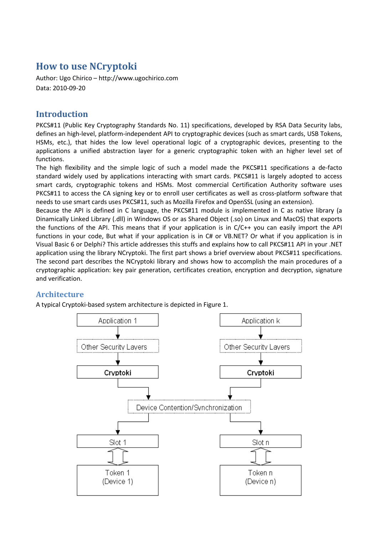# **How to use NCryptoki**

Author: Ugo Chirico – http://www.ugochirico.com Data: 2010-09-20

## **Introduction**

PKCS#11 (Public Key Cryptography Standards No. 11) specifications, developed by RSA Data Security labs, defines an high-level, platform-independent API to cryptographic devices (such as smart cards, USB Tokens, HSMs, etc.), that hides the low level operational logic of a cryptographic devices, presenting to the applications a unified abstraction layer for a generic cryptographic token with an higher level set of functions.

The high flexibility and the simple logic of such a model made the PKCS#11 specifications a de-facto standard widely used by applications interacting with smart cards. PKCS#11 is largely adopted to access smart cards, cryptographic tokens and HSMs. Most commercial Certification Authority software uses PKCS#11 to access the CA signing key or to enroll user certificates as well as cross-platform software that needs to use smart cards uses PKCS#11, such as Mozilla Firefox and OpenSSL (using an extension).

Because the API is defined in C language, the PKCS#11 module is implemented in C as native library (a Dinamically Linked Library (.dll) in Windows OS or as Shared Object (.so) on Linux and MacOS) that exports the functions of the API. This means that if your application is in C/C++ you can easily import the API functions in your code, But what if your application is in C# or VB.NET? Or what if you application is in Visual Basic 6 or Delphi? This article addresses this stuffs and explains how to call PKCS#11 API in your .NET application using the library NCryptoki. The first part shows a brief overview about PKCS#11 specifications. The second part describes the NCryptoki library and shows how to accomplish the main procedures of a cryptographic application: key pair generation, certificates creation, encryption and decryption, signature and verification.

## **Architecture**

A typical Cryptoki-based system architecture is depicted in Figure 1.

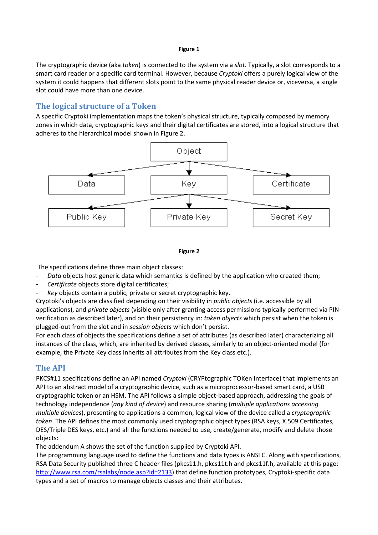#### **Figure 1**

The cryptographic device (aka *token*) is connected to the system via a *slot*. Typically, a slot corresponds to a smart card reader or a specific card terminal. However, because *Cryptoki* offers a purely logical view of the system it could happens that different slots point to the same physical reader device or, viceversa, a single slot could have more than one device.

## **The logical structure of a Token**

A specific Cryptoki implementation maps the token's physical structure, typically composed by memory zones in which data, cryptographic keys and their digital certificates are stored, into a logical structure that adheres to the hierarchical model shown in Figure 2.



#### **Figure 2**

The specifications define three main object classes:

- *Data* objects host generic data which semantics is defined by the application who created them;
- *Certificate* objects store digital certificates;
- Key objects contain a public, private or secret cryptographic key.

Cryptoki's objects are classified depending on their visibility in *public objects* (i.e. accessible by all applications), and *private objects* (visible only after granting access permissions typically performed via PINverification as described later), and on their persistency in: *token objects* which persist when the token is plugged-out from the slot and in *session objects* which don't persist.

For each class of objects the specifications define a set of attributes (as described later) characterizing all instances of the class, which, are inherited by derived classes, similarly to an object-oriented model (for example, the Private Key class inherits all attributes from the Key class etc.).

## **The API**

PKCS#11 specifications define an API named *Cryptoki* (CRYPtographic TOKen Interface) that implements an API to an abstract model of a cryptographic device, such as a microprocessor-based smart card, a USB cryptographic token or an HSM. The API follows a simple object-based approach, addressing the goals of technology independence (*any kind of device*) and resource sharing (*multiple applications accessing multiple devices*), presenting to applications a common, logical view of the device called a *cryptographic token*. The API defines the most commonly used cryptographic object types (RSA keys, X.509 Certificates, DES/Triple DES keys, etc.) and all the functions needed to use, create/generate, modify and delete those objects:

The addendum A shows the set of the function supplied by Cryptoki API.

The programming language used to define the functions and data types is ANSI C. Along with specifications, RSA Data Security published three C header files (pkcs11.h, pkcs11t.h and pkcs11f.h, available at this page: http://www.rsa.com/rsalabs/node.asp?id=2133) that define function prototypes, Cryptoki-specific data types and a set of macros to manage objects classes and their attributes.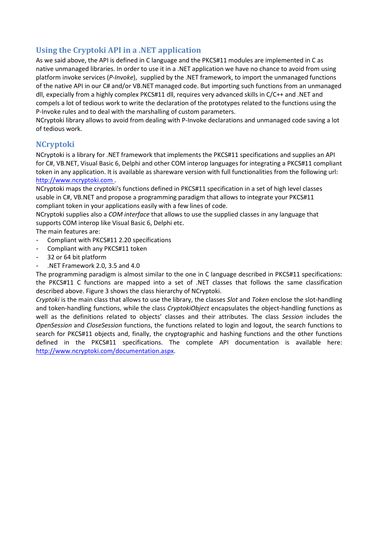## **Using the Cryptoki API in a .NET application**

As we said above, the API is defined in C language and the PKCS#11 modules are implemented in C as native unmanaged libraries. In order to use it in a .NET application we have no chance to avoid from using platform invoke services (*P-Invoke*), supplied by the .NET framework, to import the unmanaged functions of the native API in our C# and/or VB.NET managed code. But importing such functions from an unmanaged dll, expecially from a highly complex PKCS#11 dll, requires very advanced skills in C/C++ and .NET and compels a lot of tedious work to write the declaration of the prototypes related to the functions using the P-Invoke rules and to deal with the marshalling of custom parameters.

NCryptoki library allows to avoid from dealing with P-Invoke declarations and unmanaged code saving a lot of tedious work.

## **NCryptoki**

NCryptoki is a library for .NET framework that implements the PKCS#11 specifications and supplies an API for C#, VB.NET, Visual Basic 6, Delphi and other COM interop languages for integrating a PKCS#11 compliant token in any application. It is available as shareware version with full functionalities from the following url: http://www.ncryptoki.com .

NCryptoki maps the cryptoki's functions defined in PKCS#11 specification in a set of high level classes usable in C#, VB.NET and propose a programming paradigm that allows to integrate your PKCS#11 compliant token in your applications easily with a few lines of code.

NCryptoki supplies also a *COM interface* that allows to use the supplied classes in any language that supports COM interop like Visual Basic 6, Delphi etc.

The main features are:

- Compliant with PKCS#11 2.20 specifications
- Compliant with any PKCS#11 token
- 32 or 64 bit platform
- .NET Framework 2.0, 3.5 and 4.0

The programming paradigm is almost similar to the one in C language described in PKCS#11 specifications: the PKCS#11 C functions are mapped into a set of .NET classes that follows the same classification described above. Figure 3 shows the class hierarchy of NCryptoki.

*Cryptoki* is the main class that allows to use the library, the classes *Slot* and *Token* enclose the slot-handling and token-handling functions, while the class *CryptokiObject* encapsulates the object-handling functions as well as the definitions related to objects' classes and their attributes. The class *Session* includes the *OpenSession* and *CloseSession* functions, the functions related to login and logout, the search functions to search for PKCS#11 objects and, finally, the cryptographic and hashing functions and the other functions defined in the PKCS#11 specifications. The complete API documentation is available here: http://www.ncryptoki.com/documentation.aspx.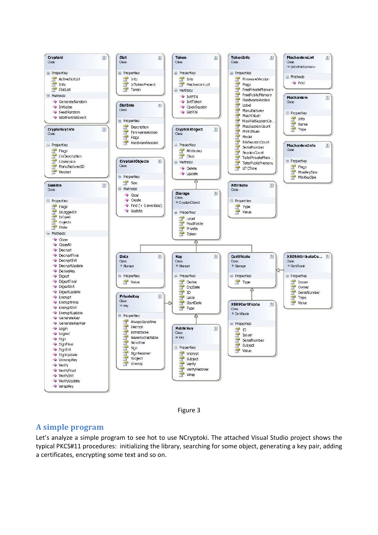



### **A simple program**

Let's analyze a simple program to see hot to use NCryptoki. The attached Visual Studio project shows the typical PKCS#11 procedures: initializing the library, searching for some object, generating a key pair, adding a certificates, encrypting some text and so on.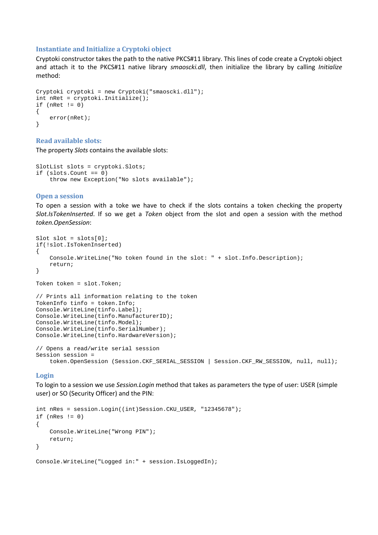#### **Instantiate and Initialize a Cryptoki object**

Cryptoki constructor takes the path to the native PKCS#11 library. This lines of code create a Cryptoki object and attach it to the PKCS#11 native library *smaoscki.dll*, then initialize the library by calling *Initialize* method:

```
Cryptoki cryptoki = new Cryptoki("smaoscki.dll"); 
int nRet = cryptoki.Initialize(); 
if (nRet != 0){ 
     error(nRet); 
}
```
#### **Read available slots:**

The property *Slots* contains the available slots:

```
SlotList slots = cryptoki.Slots; 
if (slots.Count == 0) 
     throw new Exception("No slots available");
```
#### **Open a session**

To open a session with a toke we have to check if the slots contains a token checking the property *Slot.IsTokenInserted*. If so we get a *Token* object from the slot and open a session with the method *token.OpenSession*:

```
Slot slot = slost[0];
if(!slot.IsTokenInserted) 
{ 
     Console.WriteLine("No token found in the slot: " + slot.Info.Description); 
     return; 
} 
Token token = slot.Token; 
// Prints all information relating to the token 
TokenInfo tinfo = token.Info; 
Console.WriteLine(tinfo.Label); 
Console.WriteLine(tinfo.ManufacturerID); 
Console.WriteLine(tinfo.Model); 
Console.WriteLine(tinfo.SerialNumber); 
Console.WriteLine(tinfo.HardwareVersion); 
// Opens a read/write serial session 
Session session = 
     token.OpenSession (Session.CKF_SERIAL_SESSION | Session.CKF_RW_SESSION, null, null);
```
#### **Login**

To login to a session we use *Session.Login* method that takes as parameters the type of user: USER (simple user) or SO (Security Officer) and the PIN:

```
int nRes = session.Login((int)Session.CKU_USER, "12345678"); 
if (nRes != 0){ 
     Console.WriteLine("Wrong PIN"); 
     return; 
} 
Console.WriteLine("Logged in:" + session.IsLoggedIn);
```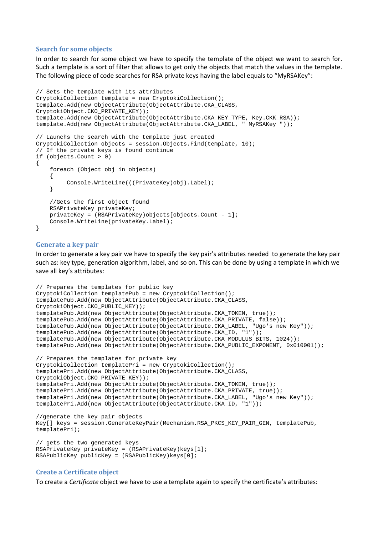#### **Search for some objects**

In order to search for some object we have to specify the template of the object we want to search for. Such a template is a sort of filter that allows to get only the objects that match the values in the template. The following piece of code searches for RSA private keys having the label equals to "MyRSAKey":

```
// Sets the template with its attributes 
CryptokiCollection template = new CryptokiCollection(); 
template.Add(new ObjectAttribute(ObjectAttribute.CKA_CLASS, 
CryptokiObject.CKO_PRIVATE_KEY)); 
template.Add(new ObjectAttribute(ObjectAttribute.CKA_KEY_TYPE, Key.CKK_RSA));
template.Add(new ObjectAttribute(ObjectAttribute.CKA_LABEL, " MyRSAKey ")); 
// Launchs the search with the template just created 
CryptokiCollection objects = session.Objects.Find(template, 10); 
// If the private keys is found continue 
if (objects.Count > 0) 
{ 
     foreach (Object obj in objects) 
     { 
          Console.WriteLine(((PrivateKey)obj).Label); 
     } 
     //Gets the first object found 
     RSAPrivateKey privateKey; 
     privateKey = (RSAPrivateKey)objects[objects.Count - 1]; 
     Console.WriteLine(privateKey.Label); 
}
```
#### **Generate a key pair**

In order to generate a key pair we have to specify the key pair's attributes needed to generate the key pair such as: key type, generation algorithm, label, and so on. This can be done by using a template in which we save all key's attributes:

```
// Prepares the templates for public key 
CryptokiCollection templatePub = new CryptokiCollection(); 
templatePub.Add(new ObjectAttribute(ObjectAttribute.CKA_CLASS, 
CryptokiObject.CKO_PUBLIC_KEY)); 
templatePub.Add(new ObjectAttribute(ObjectAttribute.CKA_TOKEN, true)); 
templatePub.Add(new ObjectAttribute(ObjectAttribute.CKA_PRIVATE, false)); 
templatePub.Add(new ObjectAttribute(ObjectAttribute.CKA_LABEL, "Ugo's new Key")); 
templatePub.Add(new ObjectAttribute(ObjectAttribute.CKA_ID, "1")); 
templatePub.Add(new ObjectAttribute(ObjectAttribute.CKA_MODULUS_BITS, 1024)); 
templatePub.Add(new ObjectAttribute(ObjectAttribute.CKA_PUBLIC_EXPONENT, 0x010001)); 
// Prepares the templates for private key 
CryptokiCollection templatePri = new CryptokiCollection(); 
templatePri.Add(new ObjectAttribute(ObjectAttribute.CKA_CLASS, 
CryptokiObject.CKO_PRIVATE_KEY)); 
templatePri.Add(new ObjectAttribute(ObjectAttribute.CKA_TOKEN, true)); 
templatePri.Add(new ObjectAttribute(ObjectAttribute.CKA_PRIVATE, true)); 
templatePri.Add(new ObjectAttribute(ObjectAttribute.CKA_LABEL, "Ugo's new Key")); 
templatePri.Add(new ObjectAttribute(ObjectAttribute.CKA_ID, "1")); 
//generate the key pair objects 
Key[] keys = session.GenerateKeyPair(Mechanism.RSA_PKCS_KEY_PAIR_GEN, templatePub, 
templatePri); 
// gets the two generated keys 
RSAPrivateKey privateKey = (RSAPrivateKey)keys[1]; 
RSAPublicKey publicKey = (RSAPublicKey)keys[0];
```
#### **Create a Certificate object**

To create a *Certificate* object we have to use a template again to specify the certificate's attributes: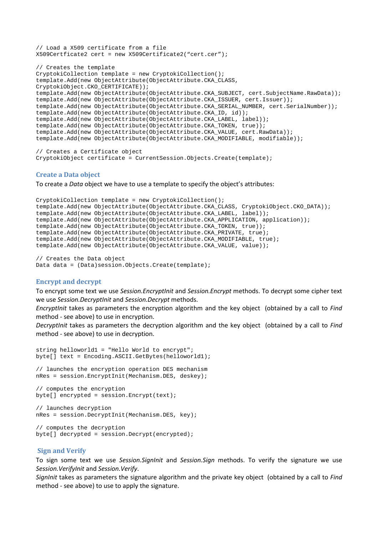```
// Load a X509 certificate from a file 
X509Certficate2 cert = new X509Certificate2("cert.cer"); 
// Creates the template 
CryptokiCollection template = new CryptokiCollection(); 
template.Add(new ObjectAttribute(ObjectAttribute.CKA_CLASS, 
CryptokiObject.CKO_CERTIFICATE)); 
template.Add(new ObjectAttribute(ObjectAttribute.CKA_SUBJECT, cert.SubjectName.RawData)); 
template.Add(new ObjectAttribute(ObjectAttribute.CKA_ISSUER, cert.Issuer)); 
template.Add(new ObjectAttribute(ObjectAttribute.CKA_SERIAL_NUMBER, cert.SerialNumber)); 
template.Add(new ObjectAttribute(ObjectAttribute.CKA_ID, id)); 
template.Add(new ObjectAttribute(ObjectAttribute.CKA_LABEL, label)); 
template.Add(new ObjectAttribute(ObjectAttribute.CKA_TOKEN, true)); 
template.Add(new ObjectAttribute(ObjectAttribute.CKA_VALUE, cert.RawData)); 
template.Add(new ObjectAttribute(ObjectAttribute.CKA_MODIFIABLE, modifiable)); 
// Creates a Certificate object
```
CryptokiObject certificate = CurrentSession.Objects.Create(template);

#### **Create a Data object**

To create a *Data* object we have to use a template to specify the object's attributes:

```
CryptokiCollection template = new CryptokiCollection(); 
template.Add(new ObjectAttribute(ObjectAttribute.CKA_CLASS, CryptokiObject.CKO_DATA)); 
template.Add(new ObjectAttribute(ObjectAttribute.CKA_LABEL, label)); 
template.Add(new ObjectAttribute(ObjectAttribute.CKA_APPLICATION, application)); 
template.Add(new ObjectAttribute(ObjectAttribute.CKA_TOKEN, true)); 
template.Add(new ObjectAttribute(ObjectAttribute.CKA_PRIVATE, true); 
template.Add(new ObjectAttribute(ObjectAttribute.CKA_MODIFIABLE, true); 
template.Add(new ObjectAttribute(ObjectAttribute.CKA_VALUE, value));
```
// Creates the Data object Data data = (Data)session.Objects.Create(template);

### **Encrypt and decrypt**

To encrypt some text we use *Session.EncryptInit* and *Session.Encrypt* methods. To decrypt some cipher text we use *Session.DecryptInit* and *Session.Decrypt* methods.

*EncryptInit* takes as parameters the encryption algorithm and the key object (obtained by a call to *Find* method - see above) to use in encryption.

*DecryptInit* takes as parameters the decryption algorithm and the key object (obtained by a call to *Find* method - see above) to use in decryption.

```
string helloworld1 = "Hello World to encrypt"; 
byte[] text = Encoding.ASCII.GetBytes(helloworld1);
// launches the encryption operation DES mechanism 
nRes = session.EncryptInit(Mechanism.DES, deskey); 
// computes the encryption 
byte[] encrypted = session.Encrypt(text); 
// launches decryption 
nRes = session.DecryptInit(Mechanism.DES, key); 
// computes the decryption 
byte[] decrypted = session.Decrypt(encrypted);
```
#### **Sign and Verify**

To sign some text we use *Session.SignInit* and *Session.Sign* methods. To verify the signature we use *Session.VerifyInit* and *Session.Verify*.

*SignInit* takes as parameters the signature algorithm and the private key object (obtained by a call to *Find* method - see above) to use to apply the signature.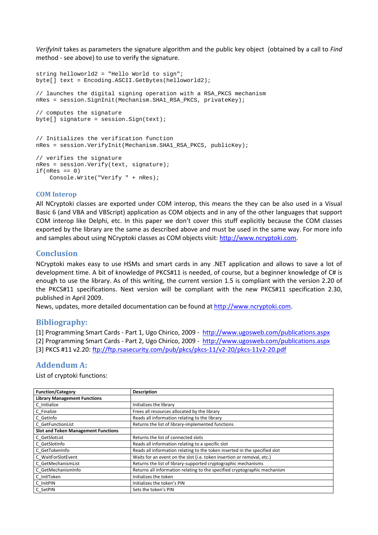*VerifyInit* takes as parameters the signature algorithm and the public key object (obtained by a call to *Find* method - see above) to use to verify the signature.

```
string helloworld2 = "Hello World to sign"; 
byte[] text = Encoding.ASCII.GetBytes(helloworld2);
// launches the digital signing operation with a RSA_PKCS mechanism 
nRes = session.SignInit(Mechanism.SHA1_RSA_PKCS, privateKey); 
// computes the signature 
byte[] signature = session. Sign(text);
// Initializes the verification function 
nRes = session.VerifyInit(Mechanism.SHA1_RSA_PKCS, publicKey); 
// verifies the signature 
nRes = session.Verify(text, signature); 
if(nRes == 0) Console.Write("Verify " + nRes);
```
### **COM Interop**

All NCryptoki classes are exported under COM interop, this means the they can be also used in a Visual Basic 6 (and VBA and VBScript) application as COM objects and in any of the other languages that support COM interop like Delphi, etc. In this paper we don't cover this stuff explicitly because the COM classes exported by the library are the same as described above and must be used in the same way. For more info and samples about using NCryptoki classes as COM objects visit: http://www.ncryptoki.com.

### **Conclusion**

NCryptoki makes easy to use HSMs and smart cards in any .NET application and allows to save a lot of development time. A bit of knowledge of PKCS#11 is needed, of course, but a beginner knowledge of C# is enough to use the library. As of this writing, the current version 1.5 is compliant with the version 2.20 of the PKCS#11 specifications. Next version will be compliant with the new PKCS#11 specification 2.30, published in April 2009.

News, updates, more detailed documentation can be found at http://www.ncryptoki.com.

### **Bibliography:**

[1] Programming Smart Cards - Part 1, Ugo Chirico, 2009 - http://www.ugosweb.com/publications.aspx

[2] Programming Smart Cards - Part 2, Ugo Chirico, 2009 - http://www.ugosweb.com/publications.aspx [3] PKCS #11 v2.20: ftp://ftp.rsasecurity.com/pub/pkcs/pkcs-11/v2-20/pkcs-11v2-20.pdf

### **Addendum A:**

List of cryptoki functions:

| <b>Function/Category</b>                   | <b>Description</b>                                                         |
|--------------------------------------------|----------------------------------------------------------------------------|
| <b>Library Management Functions</b>        |                                                                            |
| C Initialize                               | Initializes the library                                                    |
| C Finalize                                 | Frees all resources allocated by the library                               |
| C GetInfo                                  | Reads all information relating to the library                              |
| C GetFunctionList                          | Returns the list of library-implemented functions                          |
| <b>Slot and Token Management Functions</b> |                                                                            |
| C GetSlotList                              | Returns the list of connected slots                                        |
| C GetSlotInfo                              | Reads all information relating to a specific slot                          |
| C GetTokenInfo                             | Reads all information relating to the token inserted in the specified slot |
| C WaitForSlotEvent                         | Waits for an event on the slot (i.e. token insertion or removal, etc.)     |
| C GetMechanismList                         | Returns the list of library-supported cryptographic mechanisms             |
| C GetMechanismInfo                         | Returns all information relating to the specified cryptographic mechanism  |
| C InitToken                                | Initializes the token                                                      |
| C InitPIN                                  | Initializes the token's PIN                                                |
| C SetPIN                                   | Sets the token's PIN                                                       |